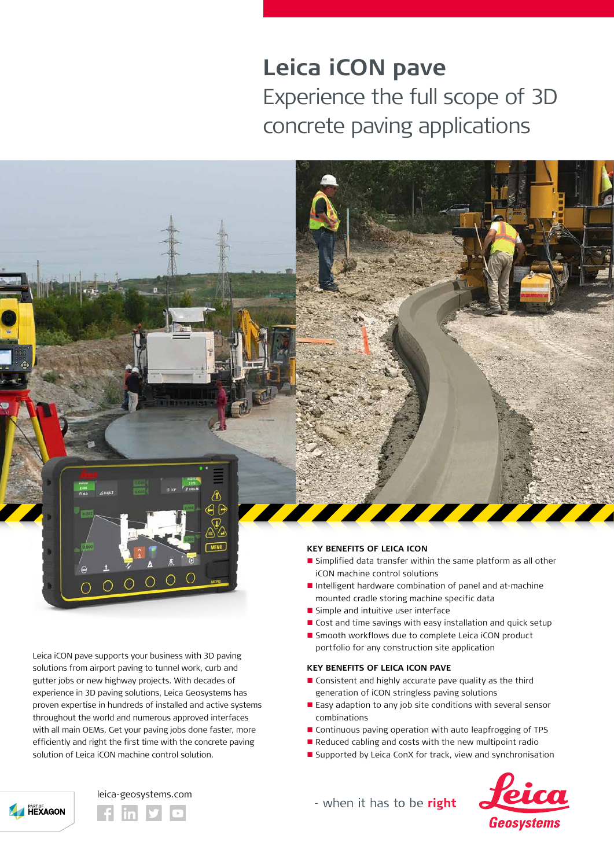# **Leica iCON pave**  Experience the full scope of 3D concrete paving applications



Leica iCON pave supports your business with 3D paving solutions from airport paving to tunnel work, curb and gutter jobs or new highway projects. With decades of experience in 3D paving solutions, Leica Geosystems has proven expertise in hundreds of installed and active systems throughout the world and numerous approved interfaces with all main OEMs. Get your paving jobs done faster, more efficiently and right the first time with the concrete paving solution of Leica iCON machine control solution.



# **KEY BENEFITS OF LEICA ICON**

- Simplified data transfer within the same platform as all other iCON machine control solutions
- Intelligent hardware combination of panel and at-machine mounted cradle storing machine specific data
- $\blacksquare$  Simple and intuitive user interface
- Cost and time savings with easy installation and quick setup
- Smooth workflows due to complete Leica iCON product portfolio for any construction site application

#### **KEY BENEFITS OF LEICA ICON PAVE**

- $\blacksquare$  Consistent and highly accurate pave quality as the third generation of iCON stringless paving solutions
- Easy adaption to any job site conditions with several sensor combinations
- Continuous paving operation with auto leapfrogging of TPS
- Reduced cabling and costs with the new multipoint radio
- Supported by Leica ConX for track, view and synchronisation



- when it has to be right